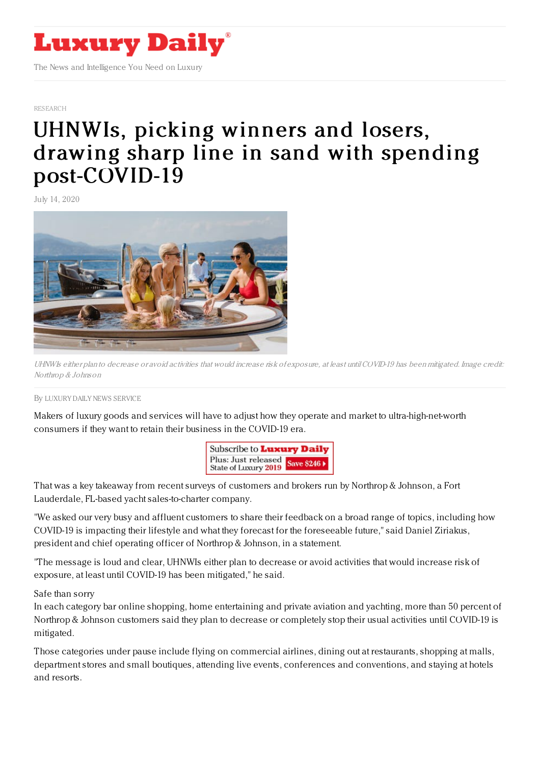

## [RESEARCH](https://www.luxurydaily.com/category/news/research/)

## UHNWIs, picking winners and losers, drawing sharp line in sand with spending [post-COVID-19](https://www.luxurydaily.com/uhnwis-picking-winners-and-losers-drawing-sharp-line-in-sand-with-spending-post-covid-19/)

July 14, 2020



UHNWIs either plan to decrease or avoid activities that would increase risk of exposure, at least until COVID-19 has been mitigated. Image credit: Northrop & Johnson

## By LUXURY DAILY NEWS [SERVICE](file:///author/luxury-daily-news-service)

Makers of luxury goods and services will have to adjust how they operate and market to ultra-high-net-worth consumers if they want to retain their business in the COVID-19 era.



That was a key takeaway from recent surveys of customers and brokers run by Northrop & Johnson, a Fort Lauderdale, FL-based yacht sales-to-charter company.

"We asked our very busy and affluent customers to share their feedback on a broad range of topics, including how COVID-19 is impacting their lifestyle and what they forecast for the foreseeable future," said Daniel Ziriakus, president and chief operating officer of Northrop & Johnson, in a statement.

"The message is loud and clear, UHNWIs either plan to decrease or avoid activities that would increase risk of exposure, at least until COVID-19 has been mitigated," he said.

## Safe than sorry

In each category bar online shopping, home entertaining and private aviation and yachting, more than 50 percent of Northrop & Johnson customers said they plan to decrease or completely stop their usual activities until COVID-19 is mitigated.

Those categories under pause include flying on commercial airlines, dining out at restaurants, shopping at malls, department stores and small boutiques, attending live events, conferences and conventions, and staying at hotels and resorts.